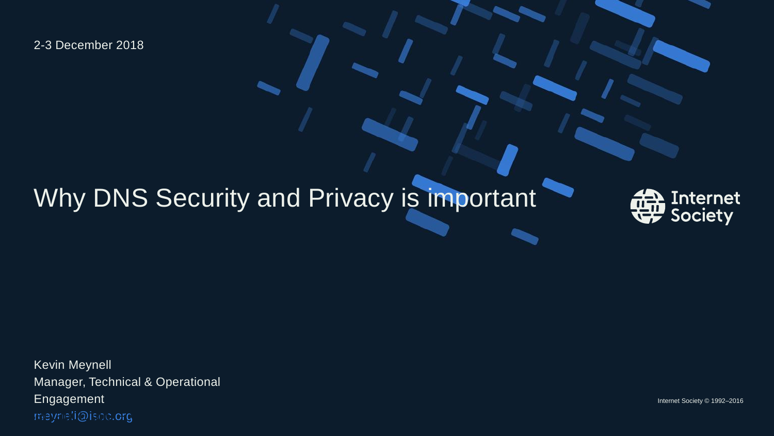2-3 December 2018

## Why DNS Security and Privacy is important



Kevin Meynell Manager, Technical & Operational Engagement meynell@isoc.org Presentation title – Client name 1997 – Client name 1997 – Client name 1997 – Client name 1997 – Client name 1<br>Presentation title – Client name 1997 – Client name 1997 – Client name 1997 – Client name 1997 – Client name 1

Internet Society © 1992–2016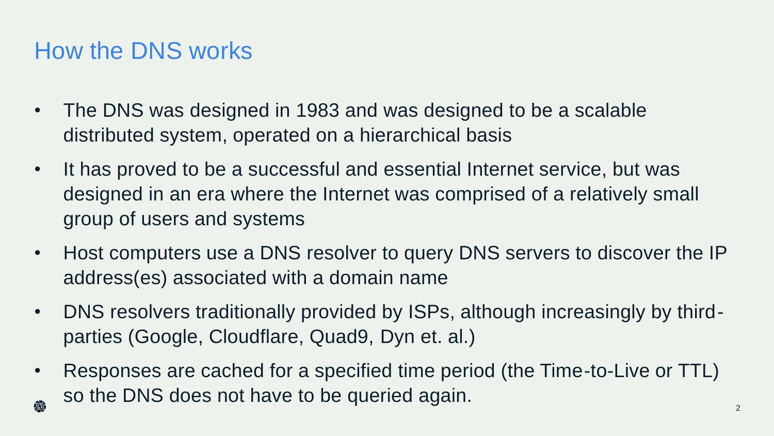## How the DNS works

- The DNS was designed in 1983 and was designed to be a scalable distributed system, operated on a hierarchical basis
- It has proved to be a successful and essential Internet service, but was designed in an era where the Internet was comprised of a relatively small group of users and systems
- Host computers use a DNS resolver to query DNS servers to discover the IP address(es) associated with a domain name
- DNS resolvers traditionally provided by ISPs, although increasingly by thirdparties (Google, Cloudflare, Quad9, Dyn et. al.)
- Responses are cached for a specified time period (the Time-to-Live or TTL) so the DNS does not have to be queried again. 鸯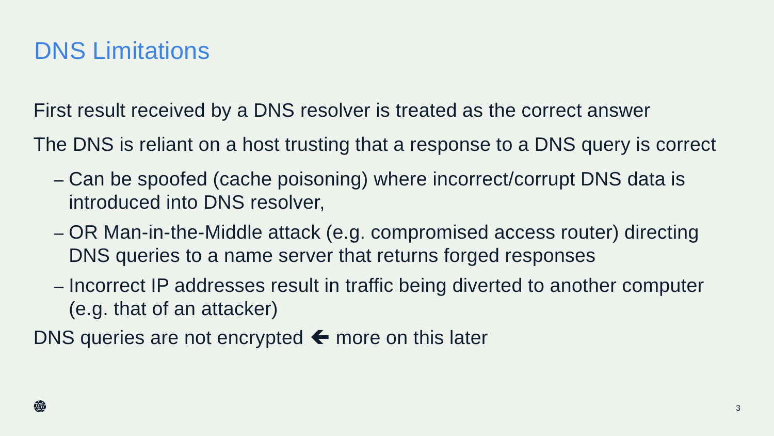## DNS Limitations

First result received by a DNS resolver is treated as the correct answer

The DNS is reliant on a host trusting that a response to a DNS query is correct

- Can be spoofed (cache poisoning) where incorrect/corrupt DNS data is introduced into DNS resolver,
- OR Man-in-the-Middle attack (e.g. compromised access router) directing DNS queries to a name server that returns forged responses
- Incorrect IP addresses result in traffic being diverted to another computer (e.g. that of an attacker)

DNS queries are not encrypted  $\leftarrow$  more on this later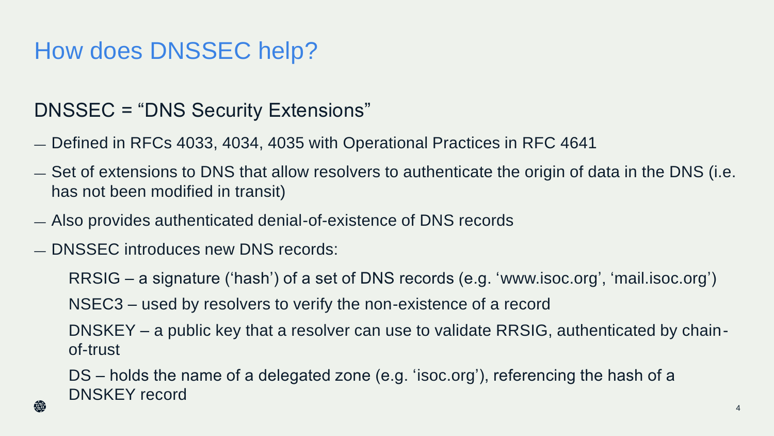## How does DNSSEC help?

#### DNSSEC = "DNS Security Extensions"

- Defined in RFCs 4033, 4034, 4035 with Operational Practices in RFC 4641
- Set of extensions to DNS that allow resolvers to authenticate the origin of data in the DNS (i.e. has not been modified in transit)
- Also provides authenticated denial-of-existence of DNS records
- DNSSEC introduces new DNS records:

RRSIG – a signature ('hash') of a set of DNS records (e.g. 'www.isoc.org', 'mail.isoc.org')

NSEC3 – used by resolvers to verify the non-existence of a record

DNSKEY – a public key that a resolver can use to validate RRSIG, authenticated by chainof-trust

DS – holds the name of a delegated zone (e.g. 'isoc.org'), referencing the hash of a DNSKEY record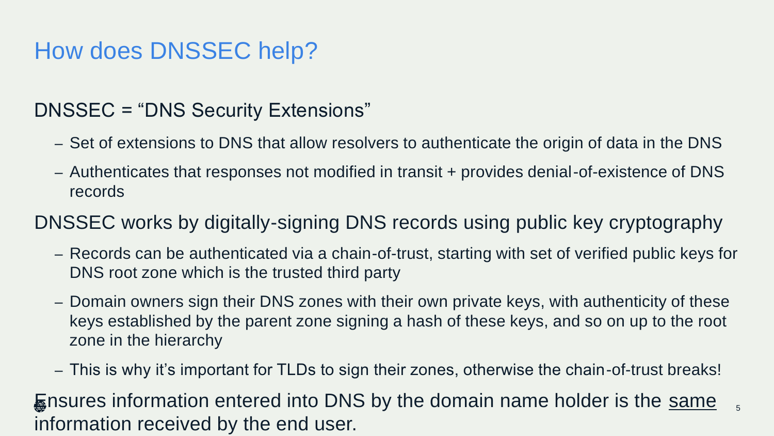## How does DNSSEC help?

#### DNSSEC = "DNS Security Extensions"

- Set of extensions to DNS that allow resolvers to authenticate the origin of data in the DNS
- Authenticates that responses not modified in transit + provides denial-of-existence of DNS records

#### DNSSEC works by digitally-signing DNS records using public key cryptography

- Records can be authenticated via a chain-of-trust, starting with set of verified public keys for DNS root zone which is the trusted third party
- Domain owners sign their DNS zones with their own private keys, with authenticity of these keys established by the parent zone signing a hash of these keys, and so on up to the root zone in the hierarchy
- This is why it's important for TLDs to sign their zones, otherwise the chain-of-trust breaks!

5

**Ensures information entered into DNS by the domain name holder is the same** information received by the end user.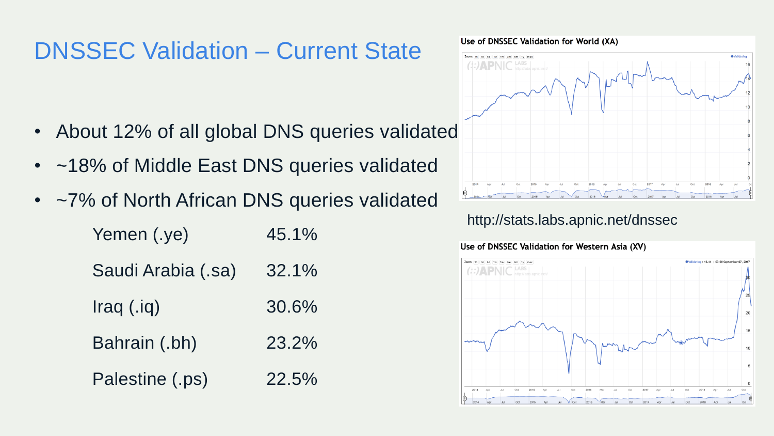## DNSSEC Validation – Current State

- About 12% of all global DNS queries validated
- ~18% of Middle East DNS queries validated
- ~7% of North African DNS queries validated

| Yemen (.ye)        | $45.1\%$ |
|--------------------|----------|
| Saudi Arabia (.sa) | $32.1\%$ |
| $Iraq$ $(iq)$      | 30.6%    |
| Bahrain (.bh)      | 23.2%    |
| Palestine (.ps)    | $22.5\%$ |

Use of DNSSEC Validation for World (XA)



#### http://stats.labs.apnic.net/dnssec

#### Use of DNSSEC Validation for Western Asia (XV)

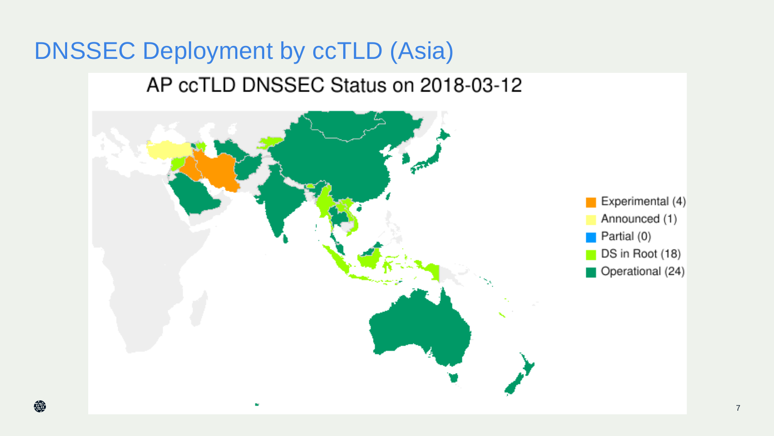# DNSSEC Deployment by ccTLD (Asia) AP ccTLD DNSSEC Status on 2018-03-12

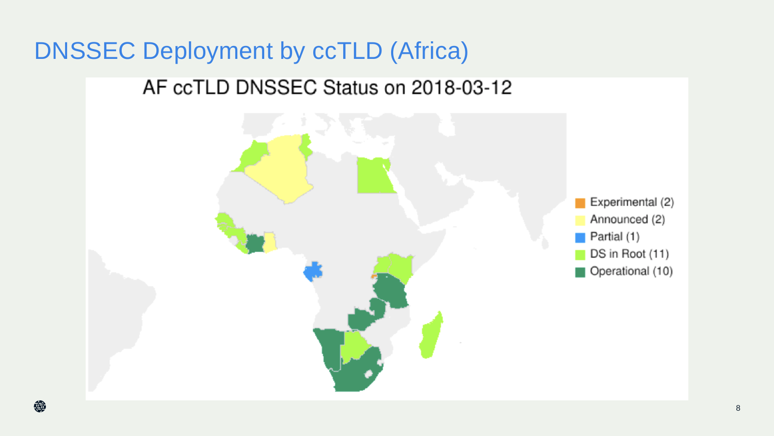## DNSSEC Deployment by ccTLD (Africa)

## AF ccTLD DNSSEC Status on 2018-03-12

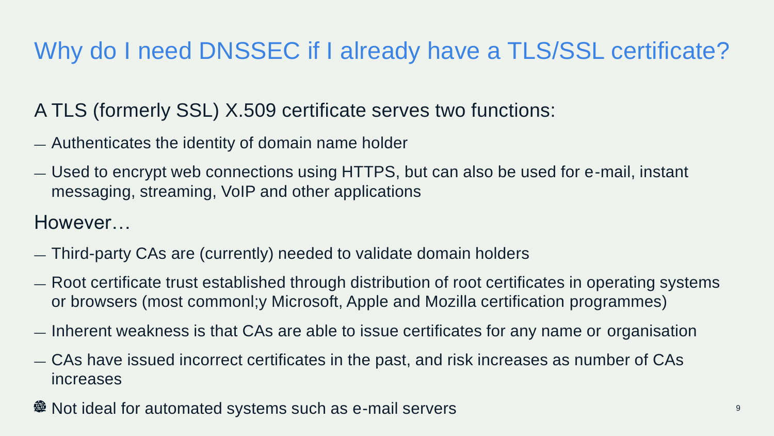# Why do I need DNSSEC if I already have a TLS/SSL certificate?

#### A TLS (formerly SSL) X.509 certificate serves two functions:

- Authenticates the identity of domain name holder
- Used to encrypt web connections using HTTPS, but can also be used for e-mail, instant messaging, streaming, VoIP and other applications

However…

- Third-party CAs are (currently) needed to validate domain holders
- Root certificate trust established through distribution of root certificates in operating systems or browsers (most commonl;y Microsoft, Apple and Mozilla certification programmes)
- Inherent weakness is that CAs are able to issue certificates for any name or organisation
- CAs have issued incorrect certificates in the past, and risk increases as number of CAs increases
- Not ideal for automated systems such as e-mail servers <sup>9</sup>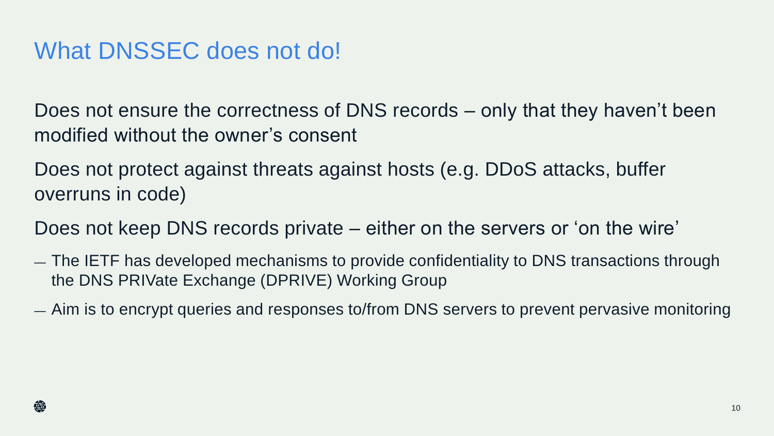## What DNSSEC does not do!

Does not ensure the correctness of DNS records – only that they haven't been modified without the owner's consent

Does not protect against threats against hosts (e.g. DDoS attacks, buffer overruns in code)

Does not keep DNS records private – either on the servers or 'on the wire'

- The IETF has developed mechanisms to provide confidentiality to DNS transactions through the DNS PRIVate Exchange (DPRIVE) Working Group
- Aim is to encrypt queries and responses to/from DNS servers to prevent pervasive monitoring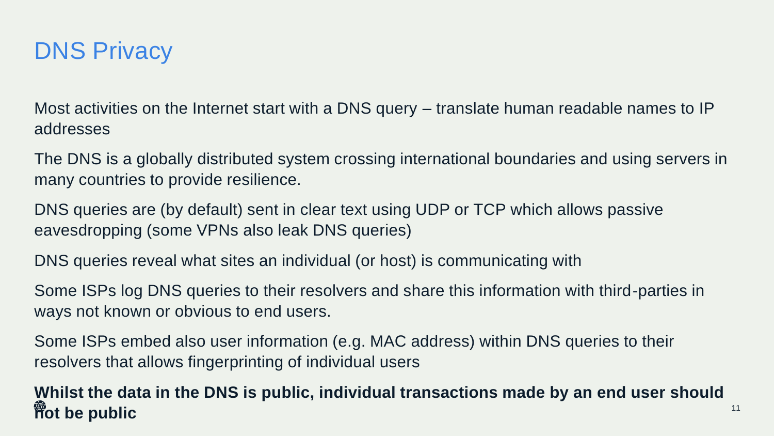

Most activities on the Internet start with a DNS query – translate human readable names to IP addresses

The DNS is a globally distributed system crossing international boundaries and using servers in many countries to provide resilience.

DNS queries are (by default) sent in clear text using UDP or TCP which allows passive eavesdropping (some VPNs also leak DNS queries)

DNS queries reveal what sites an individual (or host) is communicating with

Some ISPs log DNS queries to their resolvers and share this information with third-parties in ways not known or obvious to end users.

Some ISPs embed also user information (e.g. MAC address) within DNS queries to their resolvers that allows fingerprinting of individual users

**Whilst the data in the DNS is public, individual transactions made by an end user should not be public** 11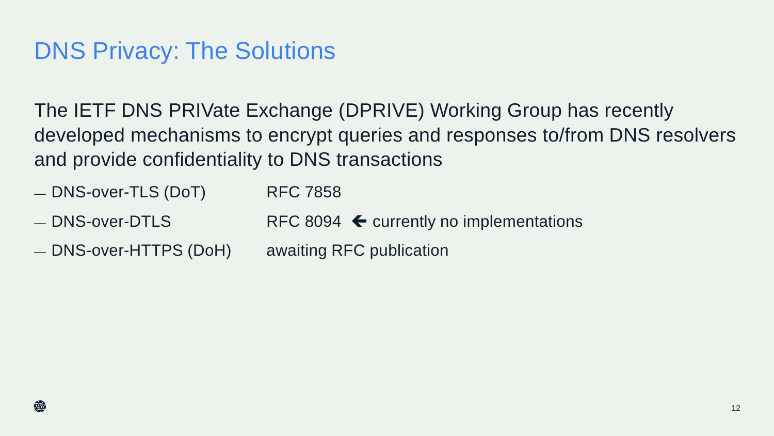## DNS Privacy: The Solutions

The IETF DNS PRIVate Exchange (DPRIVE) Working Group has recently developed mechanisms to encrypt queries and responses to/from DNS resolvers and provide confidentiality to DNS transactions

- DNS-over-TLS (DoT) RFC 7858
- $-$  DNS-over-DTLS RFC 8094  $\blacktriangle$  currently no implementations
- DNS-over-HTTPS (DoH) awaiting RFC publication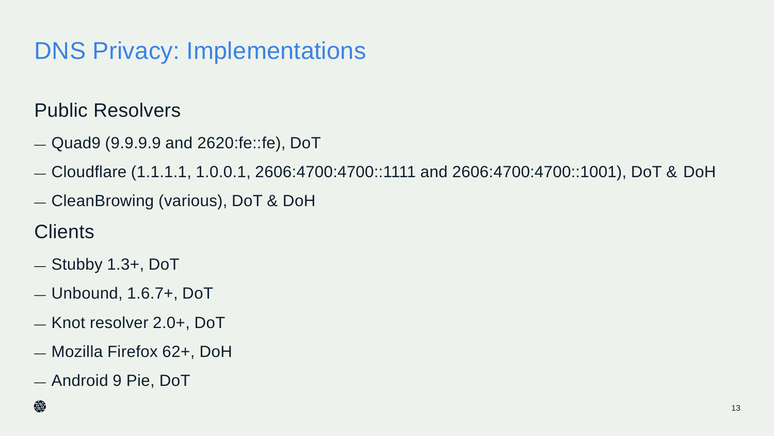## DNS Privacy: Implementations

### Public Resolvers

- Quad9 (9.9.9.9 and 2620:fe::fe), DoT
- Cloudflare (1.1.1.1, 1.0.0.1, 2606:4700:4700::1111 and 2606:4700:4700::1001), DoT & DoH
- CleanBrowing (various), DoT & DoH

**Clients** 

- Stubby 1.3+, DoT
- Unbound, 1.6.7+, DoT
- Knot resolver 2.0+, DoT
- Mozilla Firefox 62+, DoH
- Android 9 Pie, DoT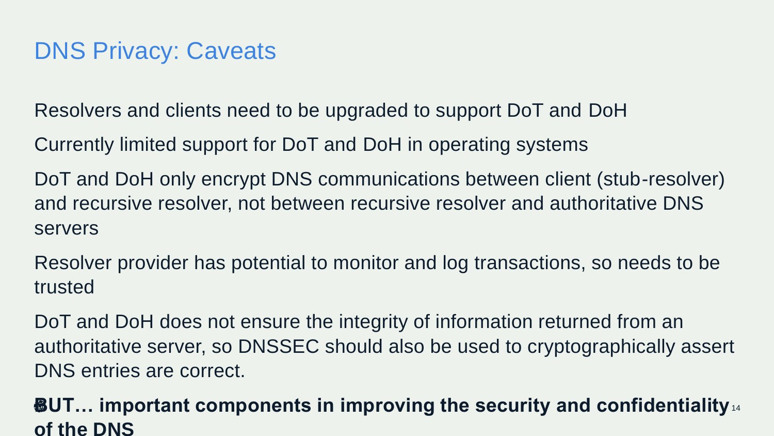## DNS Privacy: Caveats

Resolvers and clients need to be upgraded to support DoT and DoH

Currently limited support for DoT and DoH in operating systems

DoT and DoH only encrypt DNS communications between client (stub-resolver) and recursive resolver, not between recursive resolver and authoritative DNS servers

Resolver provider has potential to monitor and log transactions, so needs to be trusted

DoT and DoH does not ensure the integrity of information returned from an authoritative server, so DNSSEC should also be used to cryptographically assert DNS entries are correct.

#### **BUT… important components in improving the security and confidentiality**  14**of the DNS**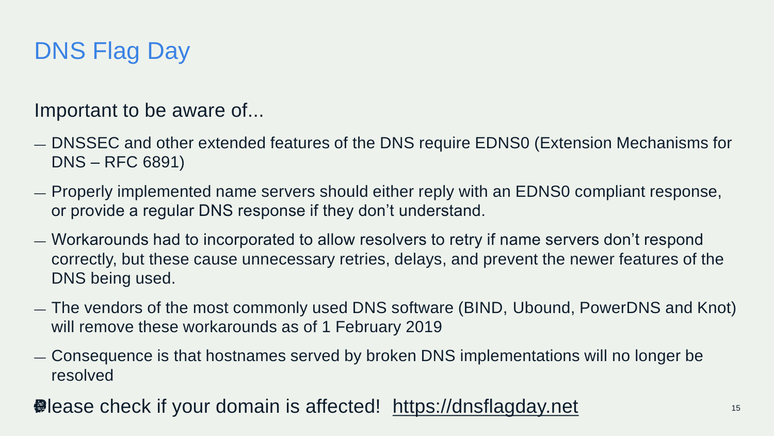## DNS Flag Day

Important to be aware of...

- DNSSEC and other extended features of the DNS require EDNS0 (Extension Mechanisms for DNS – RFC 6891)
- Properly implemented name servers should either reply with an EDNS0 compliant response, or provide a regular DNS response if they don't understand.
- Workarounds had to incorporated to allow resolvers to retry if name servers don't respond correctly, but these cause unnecessary retries, delays, and prevent the newer features of the DNS being used.
- The vendors of the most commonly used DNS software (BIND, Ubound, PowerDNS and Knot) will remove these workarounds as of 1 February 2019
- Consequence is that hostnames served by broken DNS implementations will no longer be resolved
- **●** lease check if your domain is affected! [https://dnsflagday.net](https://dnsflagday.net/) 15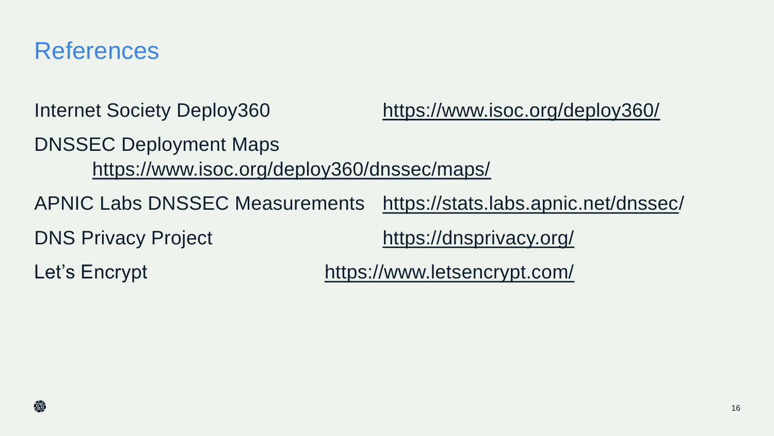## References

Internet Society Deploy360 <https://www.isoc.org/deploy360/>

DNSSEC Deployment Maps <https://www.isoc.org/deploy360/dnssec/maps/>

APNIC Labs DNSSEC Measurements <https://stats.labs.apnic.net/dnssec>/

DNS Privacy Project <https://dnsprivacy.org/>

Let's Encrypt <https://www.letsencrypt.com/>